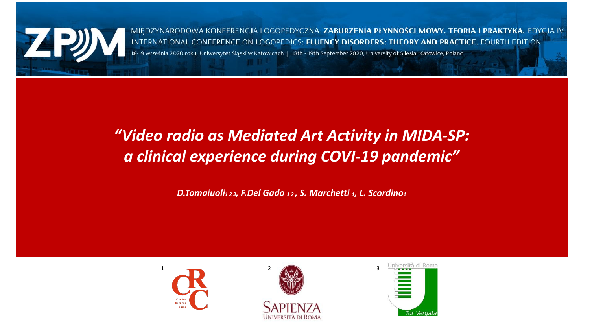

MIEDZYNARODOWA KONFERENCJA LOGOPEDYCZNA: ZABURZENIA PŁYNNOŚCI MOWY. TEORIA I PRAKTYKA. EDYCJA IV INTERNATIONAL CONFERENCE ON LOGOPEDICS: FLUENCY DISORDERS: THEORY AND PRACTICE. FOURTH EDITION .<br>18-19 września 2020 roku, Uniwersytet Śląski w Katowicach | 18th - 19th September 2020, University of Silesia, Katowice, Poland

#### *"Video radio as Mediated Art Activity in MIDA-SP: a clinical experience during COVI-19 pandemic"*

*D.Tomaiuoli1 2 3, F.Del Gado 1 2 , S. Marchetti 1, L. Scordino<sup>1</sup>*





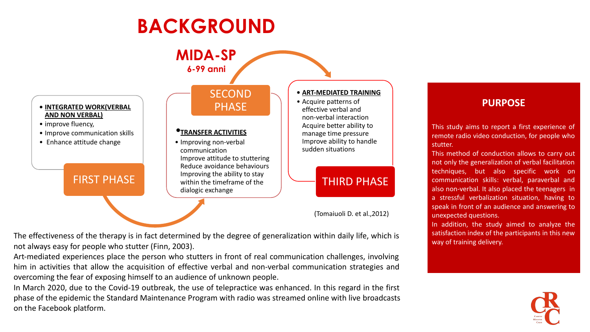# **BACKGROUND**



**PURPOSE**

This study aims to report a first experience of remote radio video conduction, for people who stutter.

This method of conduction allows to carry out not only the generalization of verbal facilitation techniques, but also specific work on communication skills: verbal, paraverbal and also non-verbal. It also placed the teenagers in a stressful verbalization situation, having to speak in front of an audience and answering to unexpected questions.

In addition, the study aimed to analyze the satisfaction index of the participants in this new way of training delivery.

The effectiveness of the therapy is in fact determined by the degree of generalization within daily life, which is not always easy for people who stutter (Finn, 2003).

Art-mediated experiences place the person who stutters in front of real communication challenges, involving him in activities that allow the acquisition of effective verbal and non-verbal communication strategies and overcoming the fear of exposing himself to an audience of unknown people.

In March 2020, due to the Covid-19 outbreak, the use of telepractice was enhanced. In this regard in the first phase of the epidemic the Standard Maintenance Program with radio was streamed online with live broadcasts on the Facebook platform.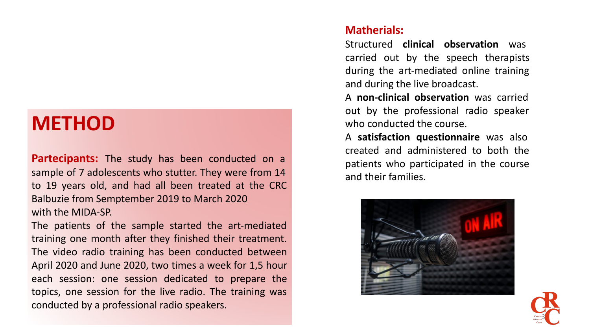### **METHOD**

**Partecipants:** The study has been conducted on a sample of 7 adolescents who stutter. They were from 14 to 19 years old, and had all been treated at the CRC Balbuzie from Semptember 2019 to March 2020 with the MIDA-SP.

The patients of the sample started the art-mediated training one month after they finished their treatment. The video radio training has been conducted between April 2020 and June 2020, two times a week for 1,5 hour each session: one session dedicated to prepare the topics, one session for the live radio. The training was conducted by a professional radio speakers.

#### **Matherials:**

Structured **clinical observation** was carried out by the speech therapists during the art-mediated online training and during the live broadcast.

A **non-clinical observation** was carried out by the professional radio speaker who conducted the course.

A **satisfaction questionnaire** was also created and administered to both the patients who participated in the course and their families.



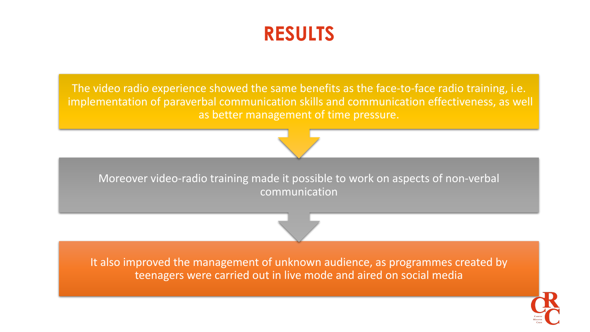## **RESULTS**

The video radio experience showed the same benefits as the face-to-face radio training, i.e. implementation of paraverbal communication skills and communication effectiveness, as well as better management of time pressure.



Moreover video-radio training made it possible to work on aspects of non-verbal communication

It also improved the management of unknown audience, as programmes created by teenagers were carried out in live mode and aired on social media

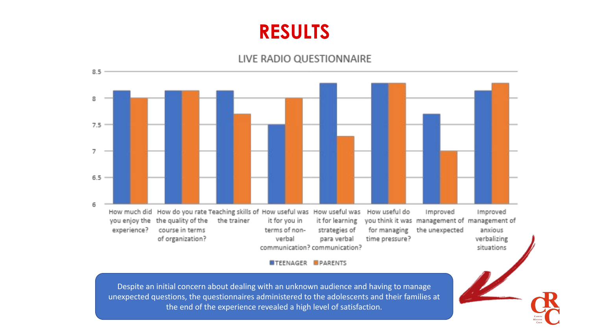### **RESULTS**

#### LIVE RADIO QUESTIONNAIRE



**ETEENAGER PARENTS** 

Despite an initial concern about dealing with an unknown audience and having to manage unexpected questions, the questionnaires administered to the adolescents and their families at the end of the experience revealed a high level of satisfaction.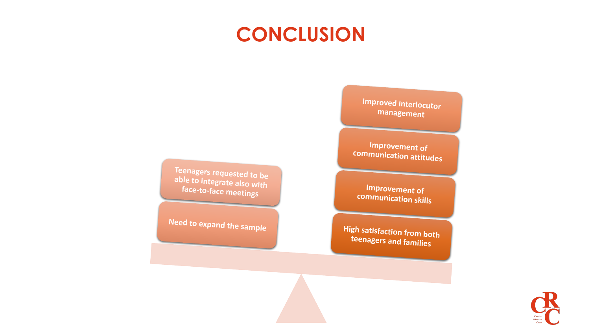## **CONCLUSION**

**Teenagers requested to be able to integrate also with face-to-face meetings**

**Need to expand the sample**

**Improved interlocutor management**

**Improvement of communication attitudes**

**Improvement of communication skills**

**High satisfaction from both teenagers and families**

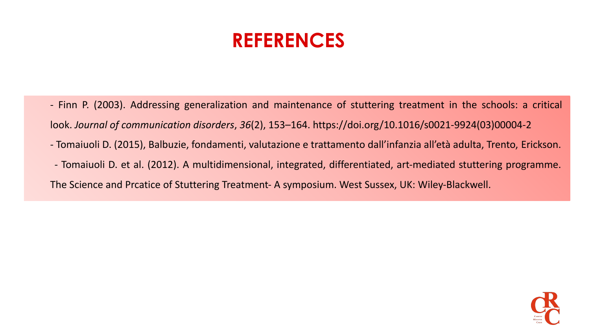# **REFERENCES**

- Finn P. (2003). Addressing generalization and maintenance of stuttering treatment in the schools: a critical look. *Journal of communication disorders*, *36*(2), 153–164. https://doi.org/10.1016/s0021-9924(03)00004-2
- Tomaiuoli D. (2015), Balbuzie, fondamenti, valutazione e trattamento dall'infanzia all'età adulta, Trento, Erickson.
- Tomaiuoli D. et al. (2012). A multidimensional, integrated, differentiated, art-mediated stuttering programme.

#### The Science and Prcatice of Stuttering Treatment- A symposium. West Sussex, UK: Wiley-Blackwell.